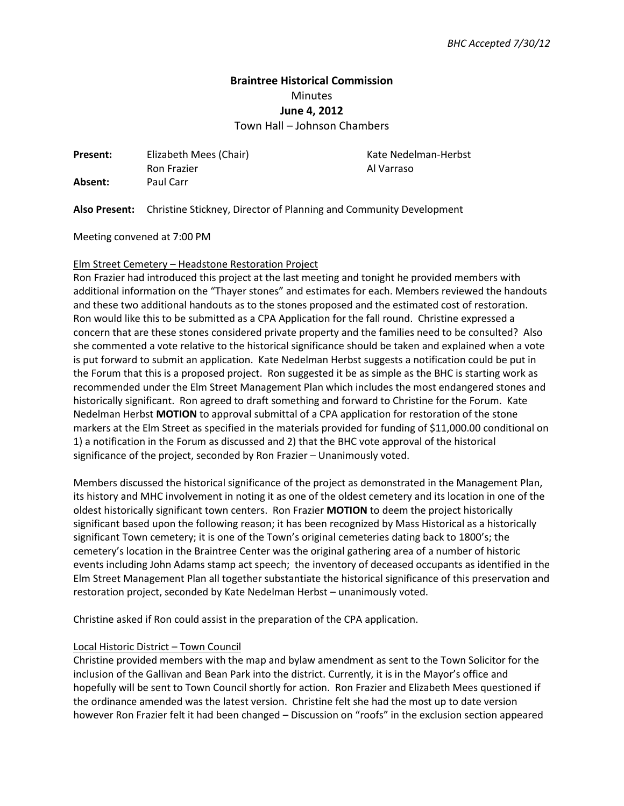# **Braintree Historical Commission**  Minutes **June 4, 2012**

Town Hall – Johnson Chambers

**Present:** Elizabeth Mees (Chair) **Kate Nedelman-Herbst** Ron Frazier **Al Varraso Absent:** Paul Carr

**Also Present:** Christine Stickney, Director of Planning and Community Development

Meeting convened at 7:00 PM

#### Elm Street Cemetery – Headstone Restoration Project

Ron Frazier had introduced this project at the last meeting and tonight he provided members with additional information on the "Thayer stones" and estimates for each. Members reviewed the handouts and these two additional handouts as to the stones proposed and the estimated cost of restoration. Ron would like this to be submitted as a CPA Application for the fall round. Christine expressed a concern that are these stones considered private property and the families need to be consulted? Also she commented a vote relative to the historical significance should be taken and explained when a vote is put forward to submit an application. Kate Nedelman Herbst suggests a notification could be put in the Forum that this is a proposed project. Ron suggested it be as simple as the BHC is starting work as recommended under the Elm Street Management Plan which includes the most endangered stones and historically significant. Ron agreed to draft something and forward to Christine for the Forum. Kate Nedelman Herbst **MOTION** to approval submittal of a CPA application for restoration of the stone markers at the Elm Street as specified in the materials provided for funding of \$11,000.00 conditional on 1) a notification in the Forum as discussed and 2) that the BHC vote approval of the historical significance of the project, seconded by Ron Frazier – Unanimously voted.

Members discussed the historical significance of the project as demonstrated in the Management Plan, its history and MHC involvement in noting it as one of the oldest cemetery and its location in one of the oldest historically significant town centers. Ron Frazier **MOTION** to deem the project historically significant based upon the following reason; it has been recognized by Mass Historical as a historically significant Town cemetery; it is one of the Town's original cemeteries dating back to 1800's; the cemetery's location in the Braintree Center was the original gathering area of a number of historic events including John Adams stamp act speech; the inventory of deceased occupants as identified in the Elm Street Management Plan all together substantiate the historical significance of this preservation and restoration project, seconded by Kate Nedelman Herbst – unanimously voted.

Christine asked if Ron could assist in the preparation of the CPA application.

#### Local Historic District – Town Council

Christine provided members with the map and bylaw amendment as sent to the Town Solicitor for the inclusion of the Gallivan and Bean Park into the district. Currently, it is in the Mayor's office and hopefully will be sent to Town Council shortly for action. Ron Frazier and Elizabeth Mees questioned if the ordinance amended was the latest version. Christine felt she had the most up to date version however Ron Frazier felt it had been changed – Discussion on "roofs" in the exclusion section appeared